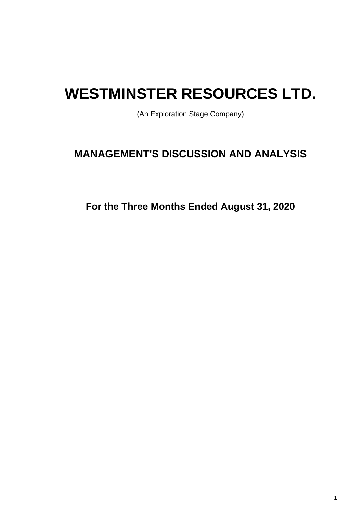# **WESTMINSTER RESOURCES LTD.**

(An Exploration Stage Company)

## **MANAGEMENT'S DISCUSSION AND ANALYSIS**

**For the Three Months Ended August 31, 2020**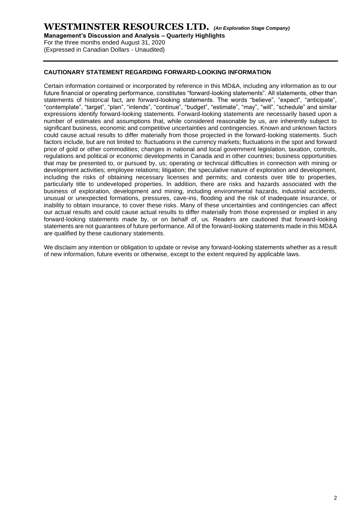**Management's Discussion and Analysis – Quarterly Highlights**

For the three months ended August 31, 2020 (Expressed in Canadian Dollars - Unaudited)

#### **CAUTIONARY STATEMENT REGARDING FORWARD-LOOKING INFORMATION**

Certain information contained or incorporated by reference in this MD&A, including any information as to our future financial or operating performance, constitutes "forward-looking statements". All statements, other than statements of historical fact, are forward-looking statements. The words "believe", "expect", "anticipate", "contemplate", "target", "plan", "intends", "continue", "budget", "estimate", "may", "will", "schedule" and similar expressions identify forward-looking statements. Forward-looking statements are necessarily based upon a number of estimates and assumptions that, while considered reasonable by us, are inherently subject to significant business, economic and competitive uncertainties and contingencies. Known and unknown factors could cause actual results to differ materially from those projected in the forward-looking statements. Such factors include, but are not limited to: fluctuations in the currency markets; fluctuations in the spot and forward price of gold or other commodities; changes in national and local government legislation, taxation, controls, regulations and political or economic developments in Canada and in other countries; business opportunities that may be presented to, or pursued by, us; operating or technical difficulties in connection with mining or development activities; employee relations; litigation; the speculative nature of exploration and development, including the risks of obtaining necessary licenses and permits; and contests over title to properties, particularly title to undeveloped properties. In addition, there are risks and hazards associated with the business of exploration, development and mining, including environmental hazards, industrial accidents, unusual or unexpected formations, pressures, cave-ins, flooding and the risk of inadequate insurance, or inability to obtain insurance, to cover these risks. Many of these uncertainties and contingencies can affect our actual results and could cause actual results to differ materially from those expressed or implied in any forward-looking statements made by, or on behalf of, us. Readers are cautioned that forward-looking statements are not guarantees of future performance. All of the forward-looking statements made in this MD&A are qualified by these cautionary statements.

We disclaim any intention or obligation to update or revise any forward-looking statements whether as a result of new information, future events or otherwise, except to the extent required by applicable laws.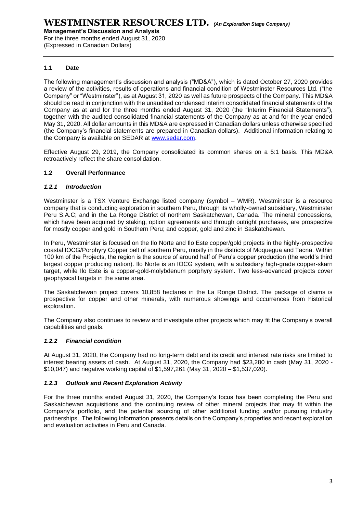**Management's Discussion and Analysis** 

For the three months ended August 31, 2020 (Expressed in Canadian Dollars)

#### **1.1 Date**

The following management's discussion and analysis ("MD&A"), which is dated October 27, 2020 provides a review of the activities, results of operations and financial condition of Westminster Resources Ltd. ("the Company" or "Westminster"), as at August 31, 2020 as well as future prospects of the Company. This MD&A should be read in conjunction with the unaudited condensed interim consolidated financial statements of the Company as at and for the three months ended August 31, 2020 (the "Interim Financial Statements"), together with the audited consolidated financial statements of the Company as at and for the year ended May 31, 2020. All dollar amounts in this MD&A are expressed in Canadian dollars unless otherwise specified (the Company's financial statements are prepared in Canadian dollars). Additional information relating to the Company is available on SEDAR at [www.sedar.com.](http://www.sedar.com/)

Effective August 29, 2019, the Company consolidated its common shares on a 5:1 basis. This MD&A retroactively reflect the share consolidation.

#### **1.2 Overall Performance**

#### *1.2.1 Introduction*

Westminster is a TSX Venture Exchange listed company (symbol – WMR). Westminster is a resource company that is conducting exploration in southern Peru, through its wholly-owned subsidiary, Westminster Peru S.A.C; and in the La Ronge District of northern Saskatchewan, Canada. The mineral concessions, which have been acquired by staking, option agreements and through outright purchases, are prospective for mostly copper and gold in Southern Peru; and copper, gold and zinc in Saskatchewan.

In Peru, Westminster is focused on the Ilo Norte and Ilo Este copper/gold projects in the highly-prospective coastal IOCG/Porphyry Copper belt of southern Peru, mostly in the districts of Moquegua and Tacna. Within 100 km of the Projects, the region is the source of around half of Peru's copper production (the world's third largest copper producing nation). Ilo Norte is an IOCG system, with a subsidiary high-grade copper-skarn target, while Ilo Este is a copper-gold-molybdenum porphyry system. Two less-advanced projects cover geophysical targets in the same area.

The Saskatchewan project covers 10,858 hectares in the La Ronge District. The package of claims is prospective for copper and other minerals, with numerous showings and occurrences from historical exploration.

The Company also continues to review and investigate other projects which may fit the Company's overall capabilities and goals.

#### *1.2.2 Financial condition*

At August 31, 2020, the Company had no long-term debt and its credit and interest rate risks are limited to interest bearing assets of cash. At August 31, 2020, the Company had \$23,280 in cash (May 31, 2020 - \$10,047) and negative working capital of \$1,597,261 (May 31, 2020 – \$1,537,020).

#### *1.2.3 Outlook and Recent Exploration Activity*

For the three months ended August 31, 2020, the Company's focus has been completing the Peru and Saskatchewan acquisitions and the continuing review of other mineral projects that may fit within the Company's portfolio, and the potential sourcing of other additional funding and/or pursuing industry partnerships. The following information presents details on the Company's properties and recent exploration and evaluation activities in Peru and Canada.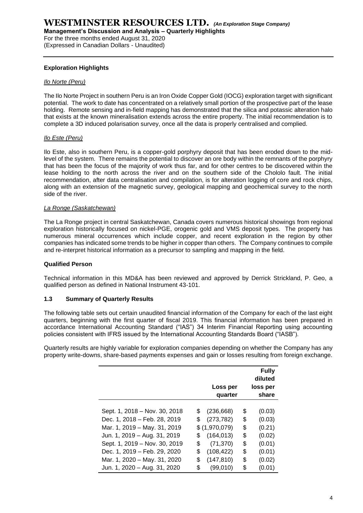**Management's Discussion and Analysis – Quarterly Highlights**

For the three months ended August 31, 2020 (Expressed in Canadian Dollars - Unaudited)

#### **Exploration Highlights**

#### *Ilo Norte (Peru)*

The Ilo Norte Project in southern Peru is an Iron Oxide Copper Gold (IOCG) exploration target with significant potential. The work to date has concentrated on a relatively small portion of the prospective part of the lease holding. Remote sensing and in-field mapping has demonstrated that the silica and potassic alteration halo that exists at the known mineralisation extends across the entire property. The initial recommendation is to complete a 3D induced polarisation survey, once all the data is properly centralised and complied.

#### *Ilo Este (Peru)*

Ilo Este, also in southern Peru, is a copper-gold porphyry deposit that has been eroded down to the midlevel of the system. There remains the potential to discover an ore body within the remnants of the porphyry that has been the focus of the majority of work thus far, and for other centres to be discovered within the lease holding to the north across the river and on the southern side of the Chololo fault. The initial recommendation, after data centralisation and compilation, is for alteration logging of core and rock chips, along with an extension of the magnetic survey, geological mapping and geochemical survey to the north side of the river.

#### *La Ronge (Saskatchewan)*

The La Ronge project in central Saskatchewan, Canada covers numerous historical showings from regional exploration historically focused on nickel-PGE, orogenic gold and VMS deposit types. The property has numerous mineral occurrences which include copper, and recent exploration in the region by other companies has indicated some trends to be higher in copper than others. The Company continues to compile and re-interpret historical information as a precursor to sampling and mapping in the field.

#### **Qualified Person**

Technical information in this MD&A has been reviewed and approved by Derrick Strickland, P. Geo, a qualified person as defined in National Instrument 43-101.

#### **1.3 Summary of Quarterly Results**

The following table sets out certain unaudited financial information of the Company for each of the last eight quarters, beginning with the first quarter of fiscal 2019. This financial information has been prepared in accordance International Accounting Standard ("IAS") 34 Interim Financial Reporting using accounting policies consistent with IFRS issued by the International Accounting Standards Board ("IASB").

Quarterly results are highly variable for exploration companies depending on whether the Company has any property write-downs, share-based payments expenses and gain or losses resulting from foreign exchange.

|                                                                                                                               | Loss per<br>loss per<br>quarter                                                                   | <b>Fully</b><br>diluted<br>share     |
|-------------------------------------------------------------------------------------------------------------------------------|---------------------------------------------------------------------------------------------------|--------------------------------------|
| Sept. 1, 2018 - Nov. 30, 2018<br>Dec. 1, 2018 – Feb. 28, 2019<br>Mar. 1, 2019 - May. 31, 2019<br>Jun. 1, 2019 - Aug. 31, 2019 | \$<br>(236, 668)<br>\$<br>(273, 782)<br>\$<br>\$<br>\$<br>\$(1,970,079)<br>\$<br>(164, 013)<br>\$ | (0.03)<br>(0.03)<br>(0.21)<br>(0.02) |
| Sept. 1, 2019 - Nov. 30, 2019<br>Dec. 1, 2019 – Feb. 29, 2020<br>Mar. 1, 2020 - May. 31, 2020<br>Jun. 1, 2020 - Aug. 31, 2020 | \$<br>\$<br>(71, 370)<br>\$<br>\$<br>(108, 422)<br>\$<br>\$<br>(147, 810)<br>\$<br>(99,010)<br>\$ | (0.01)<br>(0.01)<br>(0.02)<br>(0.01) |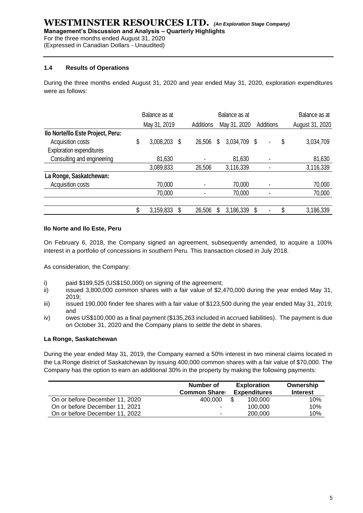**Management's Discussion and Analysis – Quarterly Highlights**

For the three months ended August 31, 2020

(Expressed in Canadian Dollars - Unaudited)

#### **1.4 Results of Operations**

During the three months ended August 31, 2020 and year ended May 31, 2020, exploration expenditures were as follows:

|                                   | Balance as at |           |           |              | Balance as at |              |  |   |                 | Balance as at |  |  |
|-----------------------------------|---------------|-----------|-----------|--------------|---------------|--------------|--|---|-----------------|---------------|--|--|
|                                   | May 31, 2019  |           | Additions | May 31, 2020 |               | Additions    |  |   | August 31, 2020 |               |  |  |
| Ilo Norte/Ilo Este Project, Peru: |               |           |           |              |               |              |  |   |                 |               |  |  |
| Acquisition costs                 | \$            | 3,008,203 | \$        | 26,506       | \$            | 3,034,709 \$ |  | ٠ | \$              | 3,034,709     |  |  |
| <b>Exploration expenditures</b>   |               |           |           |              |               |              |  |   |                 |               |  |  |
| Consulting and engineering        |               | 81,630    |           |              |               | 81,630       |  | ٠ |                 | 81,630        |  |  |
|                                   |               | 3,089,833 |           | 26,506       |               | 3,116,339    |  |   |                 | 3,116,339     |  |  |
| La Ronge, Saskatchewan:           |               |           |           |              |               |              |  |   |                 |               |  |  |
| Acquisition costs                 |               | 70,000    |           |              |               | 70,000       |  |   |                 | 70,000        |  |  |
|                                   |               | 70,000    |           |              |               | 70,000       |  | ٠ |                 | 70,000        |  |  |
|                                   |               |           |           |              |               |              |  |   |                 |               |  |  |
|                                   | \$            | 3,159,833 |           | 26,506       | S             | 3,186,339    |  | ٠ | \$              | 3,186,339     |  |  |

#### **Ilo Norte and Ilo Este, Peru**

On February 6, 2018, the Company signed an agreement, subsequently amended, to acquire a 100% interest in a portfolio of concessions in southern Peru. This transaction closed in July 2018.

As consideration, the Company:

- i) paid \$189,525 (US\$150,000) on signing of the agreement;<br>ii) issued 3.800.000 common shares with a fair value of \$2.4
- issued 3,800,000 common shares with a fair value of \$2,470,000 during the year ended May 31, 2019;
- iii) issued 190,000 finder fee shares with a fair value of \$123,500 during the year ended May 31, 2019; and
- iv) owes US\$100,000 as a final payment (\$135,263 included in accrued liabilities). The payment is due on October 31, 2020 and the Company plans to settle the debt in shares.

#### **La Ronge, Saskatchewan**

During the year ended May 31, 2019, the Company earned a 50% interest in two mineral claims located in the La Ronge district of Saskatchewan by issuing 400,000 common shares with a fair value of \$70,000. The Company has the option to earn an additional 30% in the property by making the following payments:

|                                | Number of<br><b>Common Share:</b> |     | <b>Exploration</b><br><b>Expenditures</b> | Ownership<br><b>Interest</b> |
|--------------------------------|-----------------------------------|-----|-------------------------------------------|------------------------------|
| On or before December 11, 2020 | 400,000                           | \$. | 100.000                                   | 10%                          |
| On or before December 11, 2021 |                                   |     | 100.000                                   | 10%                          |
| On or before December 11, 2022 | ۰                                 |     | 200,000                                   | 10%                          |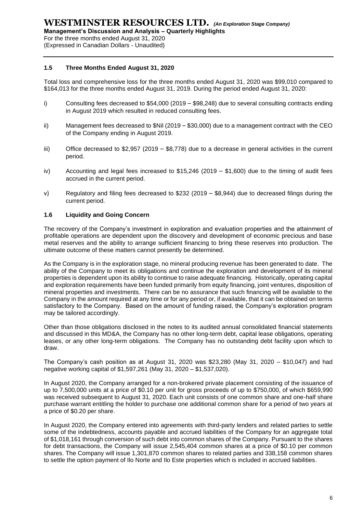**Management's Discussion and Analysis – Quarterly Highlights**

For the three months ended August 31, 2020

(Expressed in Canadian Dollars - Unaudited)

#### **1.5 Three Months Ended August 31, 2020**

Total loss and comprehensive loss for the three months ended August 31, 2020 was \$99,010 compared to \$164,013 for the three months ended August 31, 2019. During the period ended August 31, 2020:

- i) Consulting fees decreased to \$54,000 (2019 \$98,248) due to several consulting contracts ending in August 2019 which resulted in reduced consulting fees.
- ii) Management fees decreased to \$Nil (2019 \$30,000) due to a management contract with the CEO of the Company ending in August 2019.
- iii) Office decreased to \$2,957 (2019 \$8,778) due to a decrease in general activities in the current period.
- iv) Accounting and legal fees increased to \$15,246 (2019 \$1,600) due to the timing of audit fees accrued in the current period.
- v) Regulatory and filing fees decreased to \$232 (2019 \$8,944) due to decreased filings during the current period.

#### **1.6 Liquidity and Going Concern**

The recovery of the Company's investment in exploration and evaluation properties and the attainment of profitable operations are dependent upon the discovery and development of economic precious and base metal reserves and the ability to arrange sufficient financing to bring these reserves into production. The ultimate outcome of these matters cannot presently be determined.

As the Company is in the exploration stage, no mineral producing revenue has been generated to date. The ability of the Company to meet its obligations and continue the exploration and development of its mineral properties is dependent upon its ability to continue to raise adequate financing. Historically, operating capital and exploration requirements have been funded primarily from equity financing, joint ventures, disposition of mineral properties and investments. There can be no assurance that such financing will be available to the Company in the amount required at any time or for any period or, if available, that it can be obtained on terms satisfactory to the Company. Based on the amount of funding raised, the Company's exploration program may be tailored accordingly.

Other than those obligations disclosed in the notes to its audited annual consolidated financial statements and discussed in this MD&A, the Company has no other long-term debt, capital lease obligations, operating leases, or any other long-term obligations. The Company has no outstanding debt facility upon which to draw.

The Company's cash position as at August 31, 2020 was \$23,280 (May 31, 2020 – \$10,047) and had negative working capital of \$1,597,261 (May 31, 2020 – \$1,537,020).

In August 2020, the Company arranged for a non-brokered private placement consisting of the issuance of up to 7,500,000 units at a price of \$0.10 per unit for gross proceeds of up to \$750,000, of which \$659,990 was received subsequent to August 31, 2020. Each unit consists of one common share and one-half share purchase warrant entitling the holder to purchase one additional common share for a period of two years at a price of \$0.20 per share.

In August 2020, the Company entered into agreements with third-party lenders and related parties to settle some of the indebtedness, accounts payable and accrued liabilities of the Company for an aggregate total of \$1,018,161 through conversion of such debt into common shares of the Company. Pursuant to the shares for debt transactions, the Company will issue 2,545,404 common shares at a price of \$0.10 per common shares. The Company will issue 1,301,870 common shares to related parties and 338,158 common shares to settle the option payment of Ilo Norte and Ilo Este properties which is included in accrued liabilities.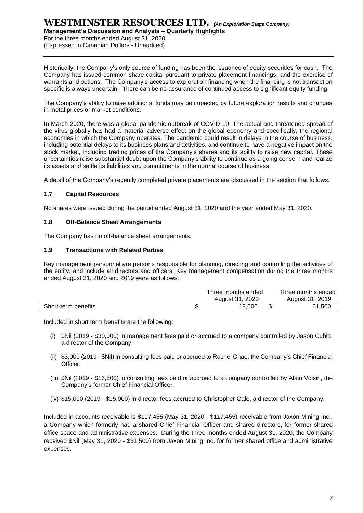**Management's Discussion and Analysis – Quarterly Highlights**

For the three months ended August 31, 2020 (Expressed in Canadian Dollars - Unaudited)

Historically, the Company's only source of funding has been the issuance of equity securities for cash. The Company has issued common share capital pursuant to private placement financings, and the exercise of warrants and options. The Company's access to exploration financing when the financing is not transaction specific is always uncertain. There can be no assurance of continued access to significant equity funding.

The Company's ability to raise additional funds may be impacted by future exploration results and changes in metal prices or market conditions.

In March 2020, there was a global pandemic outbreak of COVID-19. The actual and threatened spread of the virus globally has had a material adverse effect on the global economy and specifically, the regional economies in which the Company operates. The pandemic could result in delays in the course of business, including potential delays to its business plans and activities, and continue to have a negative impact on the stock market, including trading prices of the Company's shares and its ability to raise new capital. These uncertainties raise substantial doubt upon the Company's ability to continue as a going concern and realize its assets and settle its liabilities and commitments in the normal course of business.

A detail of the Company's recently completed private placements are discussed in the section that follows.

#### **1.7 Capital Resources**

No shares were issued during the period ended August 31, 2020 and the year ended May 31, 2020.

#### **1.8 Off-Balance Sheet Arrangements**

The Company has no off-balance sheet arrangements.

#### **1.9 Transactions with Related Parties**

Key management personnel are persons responsible for planning, directing and controlling the activities of the entity, and include all directors and officers. Key management compensation during the three months ended August 31, 2020 and 2019 were as follows:

|                     | Three months ended | Three months ended |
|---------------------|--------------------|--------------------|
|                     | August 31, 2020    | August 31, 2019    |
| Short-term benefits | 18.000             | 61.500             |

Included in short term benefits are the following:

- (i) \$Nil (2019 \$30,000) in management fees paid or accrued to a company controlled by Jason Cubitt, a director of the Company.
- (ii) \$3,000 (2019 \$Nil) in consulting fees paid or accrued to Rachel Chae, the Company's Chief Financial Officer.
- (iii) \$Nil (2019 \$16,500) in consulting fees paid or accrued to a company controlled by Alain Voisin, the Company's former Chief Financial Officer.
- (iv) \$15,000 (2019 \$15,000) in director fees accrued to Christopher Gale, a director of the Company.

Included in accounts receivable is \$117,455 (May 31, 2020 - \$117,455) receivable from Jaxon Mining Inc., a Company which formerly had a shared Chief Financial Officer and shared directors, for former shared office space and administrative expenses. During the three months ended August 31, 2020, the Company received \$Nil (May 31, 2020 - \$31,500) from Jaxon Mining Inc. for former shared office and administrative expenses.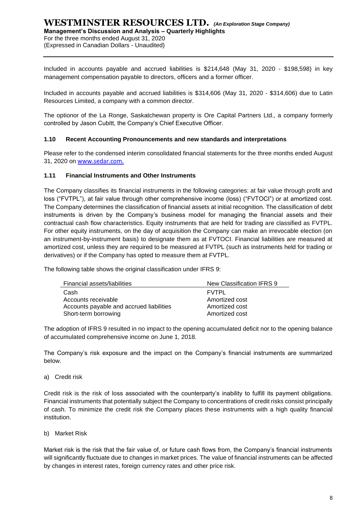**Management's Discussion and Analysis – Quarterly Highlights**

For the three months ended August 31, 2020

(Expressed in Canadian Dollars - Unaudited)

Included in accounts payable and accrued liabilities is \$214,648 (May 31, 2020 - \$198,598) in key management compensation payable to directors, officers and a former officer.

Included in accounts payable and accrued liabilities is \$314,606 (May 31, 2020 - \$314,606) due to Latin Resources Limited, a company with a common director.

The optionor of the La Ronge, Saskatchewan property is Ore Capital Partners Ltd., a company formerly controlled by Jason Cubitt, the Company's Chief Executive Officer.

#### **1.10 Recent Accounting Pronouncements and new standards and interpretations**

Please refer to the condensed interim consolidated financial statements for the three months ended August 31, 2020 on [www.sedar.com.](http://www.sedar.com/)

#### **1.11 Financial Instruments and Other Instruments**

The Company classifies its financial instruments in the following categories: at fair value through profit and loss ("FVTPL"), at fair value through other comprehensive income (loss) ("FVTOCI") or at amortized cost. The Company determines the classification of financial assets at initial recognition. The classification of debt instruments is driven by the Company's business model for managing the financial assets and their contractual cash flow characteristics. Equity instruments that are held for trading are classified as FVTPL. For other equity instruments, on the day of acquisition the Company can make an irrevocable election (on an instrument-by-instrument basis) to designate them as at FVTOCI. Financial liabilities are measured at amortized cost, unless they are required to be measured at FVTPL (such as instruments held for trading or derivatives) or if the Company has opted to measure them at FVTPL.

The following table shows the original classification under IFRS 9:

| <b>Financial assets/liabilities</b>      | New Classification IFRS 9 |
|------------------------------------------|---------------------------|
| Cash                                     | <b>FVTPL</b>              |
| Accounts receivable                      | Amortized cost            |
| Accounts payable and accrued liabilities | Amortized cost            |
| Short-term borrowing                     | Amortized cost            |

The adoption of IFRS 9 resulted in no impact to the opening accumulated deficit nor to the opening balance of accumulated comprehensive income on June 1, 2018.

The Company's risk exposure and the impact on the Company's financial instruments are summarized below.

a) Credit risk

Credit risk is the risk of loss associated with the counterparty's inability to fulfill its payment obligations. Financial instruments that potentially subject the Company to concentrations of credit risks consist principally of cash. To minimize the credit risk the Company places these instruments with a high quality financial institution.

b) Market Risk

Market risk is the risk that the fair value of, or future cash flows from, the Company's financial instruments will significantly fluctuate due to changes in market prices. The value of financial instruments can be affected by changes in interest rates, foreign currency rates and other price risk.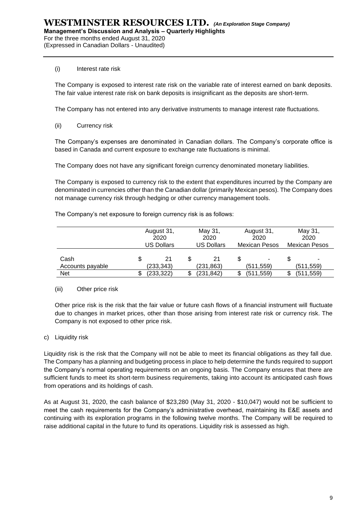For the three months ended August 31, 2020 (Expressed in Canadian Dollars - Unaudited)

#### (i) Interest rate risk

The Company is exposed to interest rate risk on the variable rate of interest earned on bank deposits. The fair value interest rate risk on bank deposits is insignificant as the deposits are short‐term.

The Company has not entered into any derivative instruments to manage interest rate fluctuations.

(ii) Currency risk

The Company's expenses are denominated in Canadian dollars. The Company's corporate office is based in Canada and current exposure to exchange rate fluctuations is minimal.

The Company does not have any significant foreign currency denominated monetary liabilities.

The Company is exposed to currency risk to the extent that expenditures incurred by the Company are denominated in currencies other than the Canadian dollar (primarily Mexican pesos). The Company does not manage currency risk through hedging or other currency management tools.

The Company's net exposure to foreign currency risk is as follows:

|                          |   | August 31,<br>2020 | May 31,<br>2020 |                   | August 31,<br>2020   | May 31,<br>2020 |                      |  |
|--------------------------|---|--------------------|-----------------|-------------------|----------------------|-----------------|----------------------|--|
|                          |   | <b>US Dollars</b>  |                 | <b>US Dollars</b> | <b>Mexican Pesos</b> |                 | <b>Mexican Pesos</b> |  |
| Cash<br>Accounts payable | S | 21<br>(233,343)    |                 | (231,863)         | (511,559)            |                 | ٠<br>(511,559)       |  |
| Net                      |   | (233,322)          |                 | (231,842)         | (511.559)            |                 | (511,559)            |  |

#### (iii) Other price risk

Other price risk is the risk that the fair value or future cash flows of a financial instrument will fluctuate due to changes in market prices, other than those arising from interest rate risk or currency risk. The Company is not exposed to other price risk.

#### c) Liquidity risk

Liquidity risk is the risk that the Company will not be able to meet its financial obligations as they fall due. The Company has a planning and budgeting process in place to help determine the funds required to support the Company's normal operating requirements on an ongoing basis. The Company ensures that there are sufficient funds to meet its short-term business requirements, taking into account its anticipated cash flows from operations and its holdings of cash.

As at August 31, 2020, the cash balance of \$23,280 (May 31, 2020 - \$10,047) would not be sufficient to meet the cash requirements for the Company's administrative overhead, maintaining its E&E assets and continuing with its exploration programs in the following twelve months. The Company will be required to raise additional capital in the future to fund its operations. Liquidity risk is assessed as high.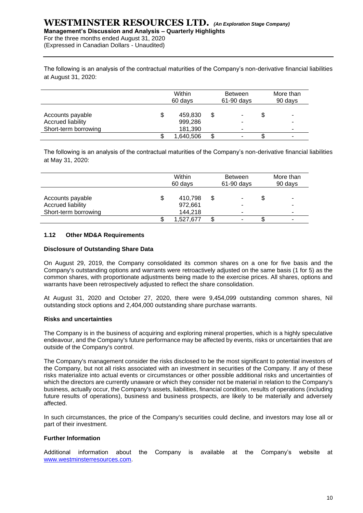**Management's Discussion and Analysis – Quarterly Highlights**

For the three months ended August 31, 2020

(Expressed in Canadian Dollars - Unaudited)

The following is an analysis of the contractual maturities of the Company's non-derivative financial liabilities at August 31, 2020:

|                                       | Within<br>60 days        |   | <b>Between</b><br>61-90 days | More than<br>90 days |   |
|---------------------------------------|--------------------------|---|------------------------------|----------------------|---|
| Accounts payable<br>Accrued liability | \$<br>459.830<br>999.286 | S | -                            |                      |   |
| Short-term borrowing                  | 181,390                  |   |                              |                      | - |
|                                       | 1,640,506                |   | ۰                            |                      |   |

The following is an analysis of the contractual maturities of the Company's non-derivative financial liabilities at May 31, 2020:

|                                                               | Within<br>60 days |                               |   | <b>Between</b><br>61-90 days | More than<br>90 days |        |
|---------------------------------------------------------------|-------------------|-------------------------------|---|------------------------------|----------------------|--------|
| Accounts payable<br>Accrued liability<br>Short-term borrowing | \$                | 410,798<br>972,661<br>144.218 | S | ۰<br>-                       | \$                   | -<br>- |
|                                                               |                   | 1,527,677                     |   |                              |                      |        |

#### **1.12 Other MD&A Requirements**

#### **Disclosure of Outstanding Share Data**

On August 29, 2019, the Company consolidated its common shares on a one for five basis and the Company's outstanding options and warrants were retroactively adjusted on the same basis (1 for 5) as the common shares, with proportionate adjustments being made to the exercise prices. All shares, options and warrants have been retrospectively adjusted to reflect the share consolidation.

At August 31, 2020 and October 27, 2020, there were 9,454,099 outstanding common shares, Nil outstanding stock options and 2,404,000 outstanding share purchase warrants.

#### **Risks and uncertainties**

The Company is in the business of acquiring and exploring mineral properties, which is a highly speculative endeavour, and the Company's future performance may be affected by events, risks or uncertainties that are outside of the Company's control.

The Company's management consider the risks disclosed to be the most significant to potential investors of the Company, but not all risks associated with an investment in securities of the Company. If any of these risks materialize into actual events or circumstances or other possible additional risks and uncertainties of which the directors are currently unaware or which they consider not be material in relation to the Company's business, actually occur, the Company's assets, liabilities, financial condition, results of operations (including future results of operations), business and business prospects, are likely to be materially and adversely affected.

In such circumstances, the price of the Company's securities could decline, and investors may lose all or part of their investment.

#### **Further Information**

Additional information about the Company is available at the Company's website at [www.westminsterresources.com.](http://www.westminsterresources.com/)